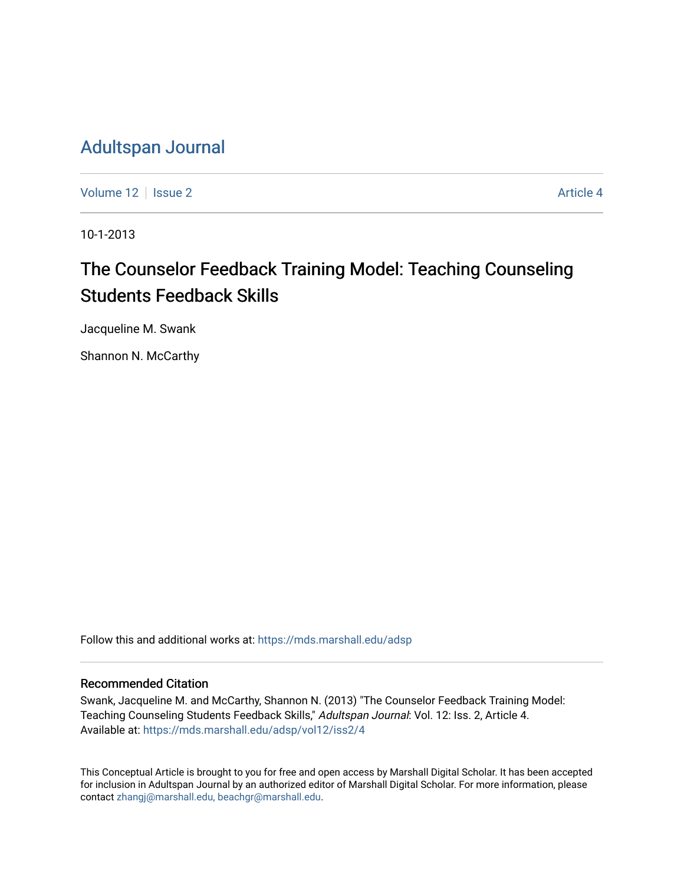# [Adultspan Journal](https://mds.marshall.edu/adsp)

[Volume 12](https://mds.marshall.edu/adsp/vol12) | [Issue 2](https://mds.marshall.edu/adsp/vol12/iss2) Article 4

10-1-2013

# The Counselor Feedback Training Model: Teaching Counseling Students Feedback Skills

Jacqueline M. Swank

Shannon N. McCarthy

Follow this and additional works at: [https://mds.marshall.edu/adsp](https://mds.marshall.edu/adsp?utm_source=mds.marshall.edu%2Fadsp%2Fvol12%2Fiss2%2F4&utm_medium=PDF&utm_campaign=PDFCoverPages) 

#### Recommended Citation

Swank, Jacqueline M. and McCarthy, Shannon N. (2013) "The Counselor Feedback Training Model: Teaching Counseling Students Feedback Skills," Adultspan Journal: Vol. 12: Iss. 2, Article 4. Available at: [https://mds.marshall.edu/adsp/vol12/iss2/4](https://mds.marshall.edu/adsp/vol12/iss2/4?utm_source=mds.marshall.edu%2Fadsp%2Fvol12%2Fiss2%2F4&utm_medium=PDF&utm_campaign=PDFCoverPages) 

This Conceptual Article is brought to you for free and open access by Marshall Digital Scholar. It has been accepted for inclusion in Adultspan Journal by an authorized editor of Marshall Digital Scholar. For more information, please contact [zhangj@marshall.edu, beachgr@marshall.edu](mailto:zhangj@marshall.edu,%20beachgr@marshall.edu).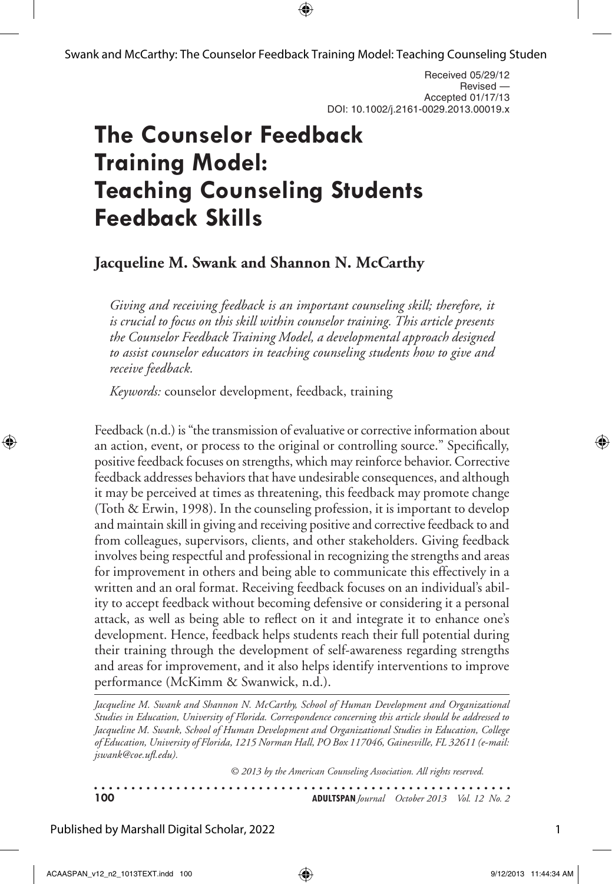Swank and McCarthy: The Counselor Feedback Training Model: Teaching Counseling Studen

Received 05/29/12 Revised — Accepted 01/17/13 DOI: 10.1002/j.2161-0029.2013.00019.x

# **The Counselor Feedback Training Model: Teaching Counseling Students Feedback Skills**

# **Jacqueline M. Swank and Shannon N. McCarthy**

*Giving and receiving feedback is an important counseling skill; therefore, it is crucial to focus on this skill within counselor training. This article presents the Counselor Feedback Training Model, a developmental approach designed to assist counselor educators in teaching counseling students how to give and receive feedback.* 

*Keywords:* counselor development, feedback, training

Feedback (n.d.) is "the transmission of evaluative or corrective information about an action, event, or process to the original or controlling source." Specifically, positive feedback focuses on strengths, which may reinforce behavior. Corrective feedback addresses behaviors that have undesirable consequences, and although it may be perceived at times as threatening, this feedback may promote change (Toth & Erwin, 1998). In the counseling profession, it is important to develop and maintain skill in giving and receiving positive and corrective feedback to and from colleagues, supervisors, clients, and other stakeholders. Giving feedback involves being respectful and professional in recognizing the strengths and areas for improvement in others and being able to communicate this effectively in a written and an oral format. Receiving feedback focuses on an individual's ability to accept feedback without becoming defensive or considering it a personal attack, as well as being able to reflect on it and integrate it to enhance one's development. Hence, feedback helps students reach their full potential during their training through the development of self-awareness regarding strengths and areas for improvement, and it also helps identify interventions to improve performance (McKimm & Swanwick, n.d.).

Jacqueline M. Swank and Shannon N. McCarthy, School of Human Development and Organizational *Studies in Education, University of Florida. Correspondence concerning this article should be addressed to Jacqueline M. Swank, School of Human Development and Organizational Studies in Education, College of Education, University of Florida, 1215 Norman Hall, PO Box 117046, Gainesville, FL 32611 (e-mail: jswank@coe.ufl.edu).*

*© 2013 by the American Counseling Association. All rights reserved.*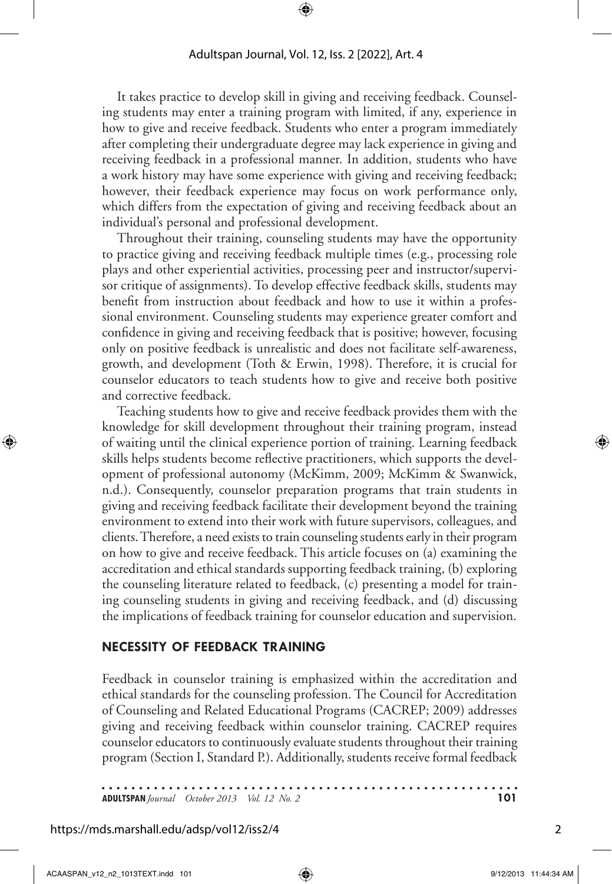It takes practice to develop skill in giving and receiving feedback. Counseling students may enter a training program with limited, if any, experience in how to give and receive feedback. Students who enter a program immediately after completing their undergraduate degree may lack experience in giving and receiving feedback in a professional manner. In addition, students who have a work history may have some experience with giving and receiving feedback; however, their feedback experience may focus on work performance only, which differs from the expectation of giving and receiving feedback about an individual's personal and professional development.

Throughout their training, counseling students may have the opportunity to practice giving and receiving feedback multiple times (e.g., processing role plays and other experiential activities, processing peer and instructor/supervisor critique of assignments). To develop effective feedback skills, students may benefit from instruction about feedback and how to use it within a professional environment. Counseling students may experience greater comfort and confidence in giving and receiving feedback that is positive; however, focusing only on positive feedback is unrealistic and does not facilitate self-awareness, growth, and development (Toth & Erwin, 1998). Therefore, it is crucial for counselor educators to teach students how to give and receive both positive and corrective feedback.

Teaching students how to give and receive feedback provides them with the knowledge for skill development throughout their training program, instead of waiting until the clinical experience portion of training. Learning feedback skills helps students become reflective practitioners, which supports the development of professional autonomy (McKimm, 2009; McKimm & Swanwick, n.d.). Consequently, counselor preparation programs that train students in giving and receiving feedback facilitate their development beyond the training environment to extend into their work with future supervisors, colleagues, and clients. Therefore, a need exists to train counseling students early in their program on how to give and receive feedback. This article focuses on (a) examining the accreditation and ethical standards supporting feedback training, (b) exploring the counseling literature related to feedback, (c) presenting a model for training counseling students in giving and receiving feedback, and (d) discussing the implications of feedback training for counselor education and supervision.

#### **Necessity of Feedback Training**

Feedback in counselor training is emphasized within the accreditation and ethical standards for the counseling profession. The Council for Accreditation of Counseling and Related Educational Programs (CACREP; 2009) addresses giving and receiving feedback within counselor training. CACREP requires counselor educators to continuously evaluate students throughout their training program (Section I, Standard P.). Additionally, students receive formal feedback

. . . . . . . . **ADULTSPAN***Journal October 2013 Vol. 12 No. 2* **101**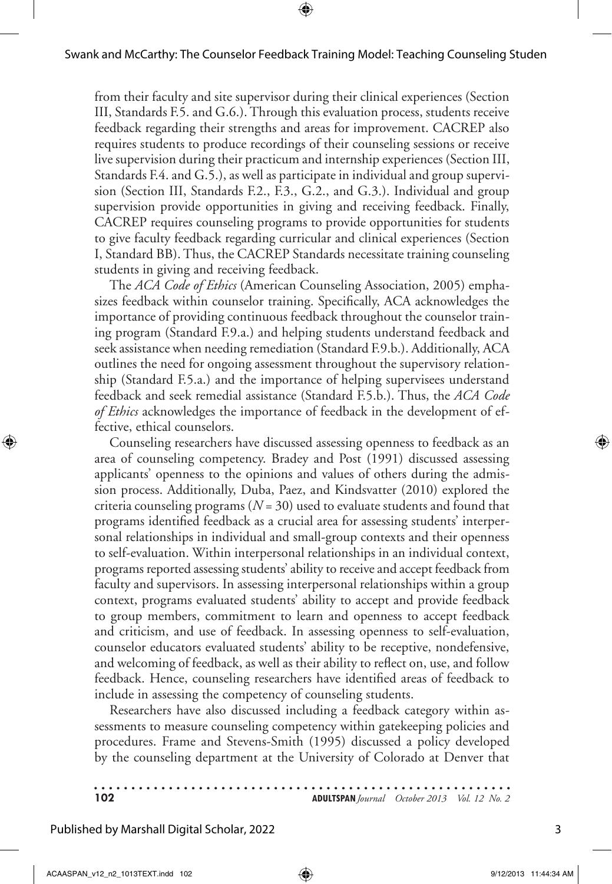from their faculty and site supervisor during their clinical experiences (Section III, Standards F.5. and G.6.). Through this evaluation process, students receive feedback regarding their strengths and areas for improvement. CACREP also requires students to produce recordings of their counseling sessions or receive live supervision during their practicum and internship experiences (Section III, Standards F.4. and G.5.), as well as participate in individual and group supervision (Section III, Standards F.2., F.3., G.2., and G.3.). Individual and group supervision provide opportunities in giving and receiving feedback. Finally, CACREP requires counseling programs to provide opportunities for students to give faculty feedback regarding curricular and clinical experiences (Section I, Standard BB). Thus, the CACREP Standards necessitate training counseling students in giving and receiving feedback.

The *ACA Code of Ethics* (American Counseling Association, 2005) emphasizes feedback within counselor training. Specifically, ACA acknowledges the importance of providing continuous feedback throughout the counselor training program (Standard F.9.a.) and helping students understand feedback and seek assistance when needing remediation (Standard F.9.b.). Additionally, ACA outlines the need for ongoing assessment throughout the supervisory relationship (Standard F.5.a.) and the importance of helping supervisees understand feedback and seek remedial assistance (Standard F.5.b.). Thus, the *ACA Code of Ethics* acknowledges the importance of feedback in the development of effective, ethical counselors.

Counseling researchers have discussed assessing openness to feedback as an area of counseling competency. Bradey and Post (1991) discussed assessing applicants' openness to the opinions and values of others during the admission process. Additionally, Duba, Paez, and Kindsvatter (2010) explored the criteria counseling programs (*N* = 30) used to evaluate students and found that programs identified feedback as a crucial area for assessing students' interpersonal relationships in individual and small-group contexts and their openness to self-evaluation. Within interpersonal relationships in an individual context, programs reported assessing students' ability to receive and accept feedback from faculty and supervisors. In assessing interpersonal relationships within a group context, programs evaluated students' ability to accept and provide feedback to group members, commitment to learn and openness to accept feedback and criticism, and use of feedback. In assessing openness to self-evaluation, counselor educators evaluated students' ability to be receptive, nondefensive, and welcoming of feedback, as well as their ability to reflect on, use, and follow feedback. Hence, counseling researchers have identified areas of feedback to include in assessing the competency of counseling students.

Researchers have also discussed including a feedback category within assessments to measure counseling competency within gatekeeping policies and procedures. Frame and Stevens-Smith (1995) discussed a policy developed by the counseling department at the University of Colorado at Denver that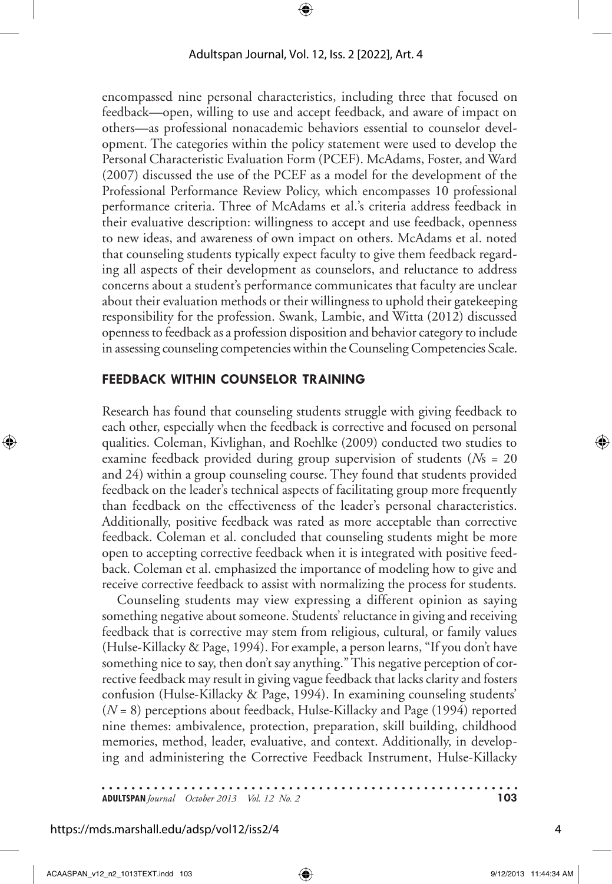encompassed nine personal characteristics, including three that focused on feedback—open, willing to use and accept feedback, and aware of impact on others—as professional nonacademic behaviors essential to counselor development. The categories within the policy statement were used to develop the Personal Characteristic Evaluation Form (PCEF). McAdams, Foster, and Ward (2007) discussed the use of the PCEF as a model for the development of the Professional Performance Review Policy, which encompasses 10 professional performance criteria. Three of McAdams et al.'s criteria address feedback in their evaluative description: willingness to accept and use feedback, openness to new ideas, and awareness of own impact on others. McAdams et al. noted that counseling students typically expect faculty to give them feedback regarding all aspects of their development as counselors, and reluctance to address concerns about a student's performance communicates that faculty are unclear about their evaluation methods or their willingness to uphold their gatekeeping responsibility for the profession. Swank, Lambie, and Witta (2012) discussed openness to feedback as a profession disposition and behavior category to include in assessing counseling competencies within the Counseling Competencies Scale.

#### **Feedback Within Counselor Training**

Research has found that counseling students struggle with giving feedback to each other, especially when the feedback is corrective and focused on personal qualities. Coleman, Kivlighan, and Roehlke (2009) conducted two studies to examine feedback provided during group supervision of students (*N*s = 20 and 24) within a group counseling course. They found that students provided feedback on the leader's technical aspects of facilitating group more frequently than feedback on the effectiveness of the leader's personal characteristics. Additionally, positive feedback was rated as more acceptable than corrective feedback. Coleman et al. concluded that counseling students might be more open to accepting corrective feedback when it is integrated with positive feedback. Coleman et al. emphasized the importance of modeling how to give and receive corrective feedback to assist with normalizing the process for students.

Counseling students may view expressing a different opinion as saying something negative about someone. Students' reluctance in giving and receiving feedback that is corrective may stem from religious, cultural, or family values (Hulse-Killacky & Page, 1994). For example, a person learns, "If you don't have something nice to say, then don't say anything." This negative perception of corrective feedback may result in giving vague feedback that lacks clarity and fosters confusion (Hulse-Killacky & Page, 1994). In examining counseling students' (*N* = 8) perceptions about feedback, Hulse-Killacky and Page (1994) reported nine themes: ambivalence, protection, preparation, skill building, childhood memories, method, leader, evaluative, and context. Additionally, in developing and administering the Corrective Feedback Instrument, Hulse-Killacky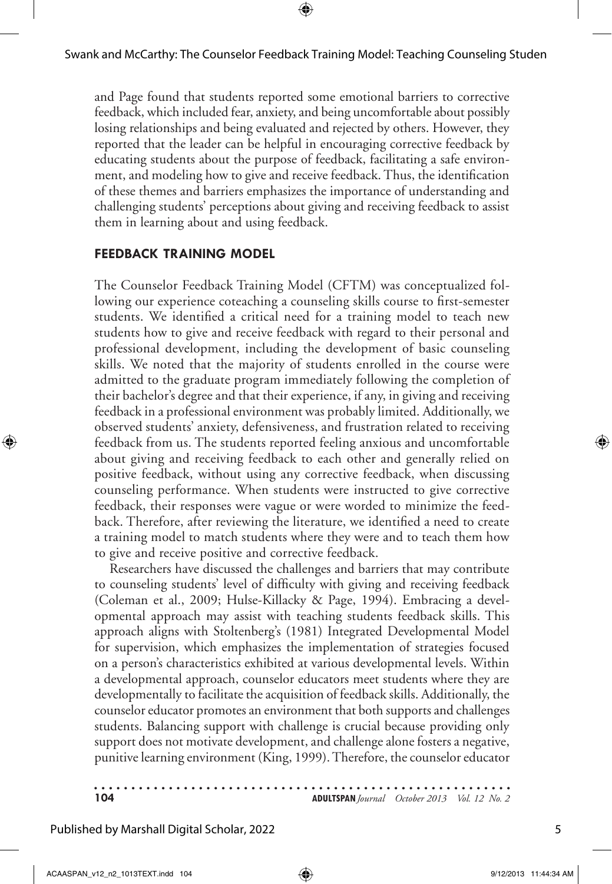and Page found that students reported some emotional barriers to corrective feedback, which included fear, anxiety, and being uncomfortable about possibly losing relationships and being evaluated and rejected by others. However, they reported that the leader can be helpful in encouraging corrective feedback by educating students about the purpose of feedback, facilitating a safe environment, and modeling how to give and receive feedback. Thus, the identification of these themes and barriers emphasizes the importance of understanding and challenging students' perceptions about giving and receiving feedback to assist them in learning about and using feedback.

### **Feedback Training Model**

The Counselor Feedback Training Model (CFTM) was conceptualized following our experience coteaching a counseling skills course to first-semester students. We identified a critical need for a training model to teach new students how to give and receive feedback with regard to their personal and professional development, including the development of basic counseling skills. We noted that the majority of students enrolled in the course were admitted to the graduate program immediately following the completion of their bachelor's degree and that their experience, if any, in giving and receiving feedback in a professional environment was probably limited. Additionally, we observed students' anxiety, defensiveness, and frustration related to receiving feedback from us. The students reported feeling anxious and uncomfortable about giving and receiving feedback to each other and generally relied on positive feedback, without using any corrective feedback, when discussing counseling performance. When students were instructed to give corrective feedback, their responses were vague or were worded to minimize the feedback. Therefore, after reviewing the literature, we identified a need to create a training model to match students where they were and to teach them how to give and receive positive and corrective feedback.

Researchers have discussed the challenges and barriers that may contribute to counseling students' level of difficulty with giving and receiving feedback (Coleman et al., 2009; Hulse-Killacky & Page, 1994). Embracing a developmental approach may assist with teaching students feedback skills. This approach aligns with Stoltenberg's (1981) Integrated Developmental Model for supervision, which emphasizes the implementation of strategies focused on a person's characteristics exhibited at various developmental levels. Within a developmental approach, counselor educators meet students where they are developmentally to facilitate the acquisition of feedback skills. Additionally, the counselor educator promotes an environment that both supports and challenges students. Balancing support with challenge is crucial because providing only support does not motivate development, and challenge alone fosters a negative, punitive learning environment (King, 1999). Therefore, the counselor educator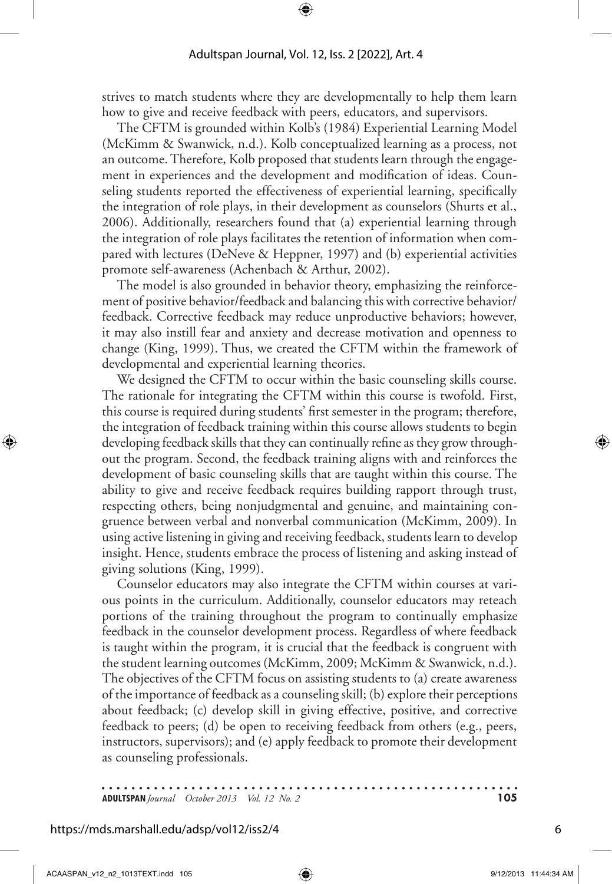strives to match students where they are developmentally to help them learn how to give and receive feedback with peers, educators, and supervisors.

The CFTM is grounded within Kolb's (1984) Experiential Learning Model (McKimm & Swanwick, n.d.). Kolb conceptualized learning as a process, not an outcome. Therefore, Kolb proposed that students learn through the engagement in experiences and the development and modification of ideas. Counseling students reported the effectiveness of experiential learning, specifically the integration of role plays, in their development as counselors (Shurts et al., 2006). Additionally, researchers found that (a) experiential learning through the integration of role plays facilitates the retention of information when compared with lectures (DeNeve & Heppner, 1997) and (b) experiential activities promote self-awareness (Achenbach & Arthur, 2002).

The model is also grounded in behavior theory, emphasizing the reinforcement of positive behavior/feedback and balancing this with corrective behavior/ feedback. Corrective feedback may reduce unproductive behaviors; however, it may also instill fear and anxiety and decrease motivation and openness to change (King, 1999). Thus, we created the CFTM within the framework of developmental and experiential learning theories.

We designed the CFTM to occur within the basic counseling skills course. The rationale for integrating the CFTM within this course is twofold. First, this course is required during students' first semester in the program; therefore, the integration of feedback training within this course allows students to begin developing feedback skills that they can continually refine as they grow throughout the program. Second, the feedback training aligns with and reinforces the development of basic counseling skills that are taught within this course. The ability to give and receive feedback requires building rapport through trust, respecting others, being nonjudgmental and genuine, and maintaining congruence between verbal and nonverbal communication (McKimm, 2009). In using active listening in giving and receiving feedback, students learn to develop insight. Hence, students embrace the process of listening and asking instead of giving solutions (King, 1999).

Counselor educators may also integrate the CFTM within courses at various points in the curriculum. Additionally, counselor educators may reteach portions of the training throughout the program to continually emphasize feedback in the counselor development process. Regardless of where feedback is taught within the program, it is crucial that the feedback is congruent with the student learning outcomes (McKimm, 2009; McKimm & Swanwick, n.d.). The objectives of the CFTM focus on assisting students to (a) create awareness of the importance of feedback as a counseling skill; (b) explore their perceptions about feedback; (c) develop skill in giving effective, positive, and corrective feedback to peers; (d) be open to receiving feedback from others (e.g., peers, instructors, supervisors); and (e) apply feedback to promote their development as counseling professionals.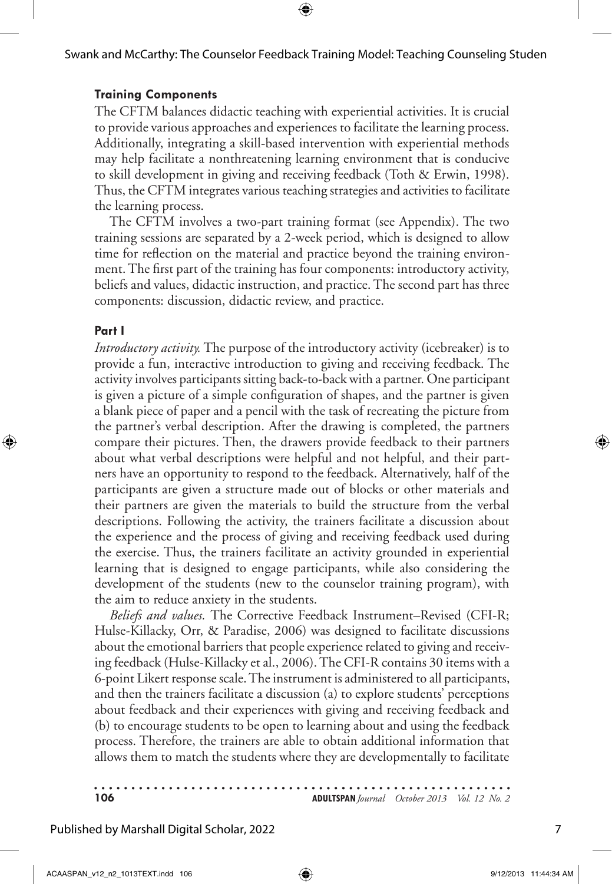# **Training Components**

The CFTM balances didactic teaching with experiential activities. It is crucial to provide various approaches and experiences to facilitate the learning process. Additionally, integrating a skill-based intervention with experiential methods may help facilitate a nonthreatening learning environment that is conducive to skill development in giving and receiving feedback (Toth & Erwin, 1998). Thus, the CFTM integrates various teaching strategies and activities to facilitate the learning process.

The CFTM involves a two-part training format (see Appendix). The two training sessions are separated by a 2-week period, which is designed to allow time for reflection on the material and practice beyond the training environment. The first part of the training has four components: introductory activity, beliefs and values, didactic instruction, and practice. The second part has three components: discussion, didactic review, and practice.

### **Part I**

*Introductory activity.* The purpose of the introductory activity (icebreaker) is to provide a fun, interactive introduction to giving and receiving feedback. The activity involves participants sitting back-to-back with a partner. One participant is given a picture of a simple configuration of shapes, and the partner is given a blank piece of paper and a pencil with the task of recreating the picture from the partner's verbal description. After the drawing is completed, the partners compare their pictures. Then, the drawers provide feedback to their partners about what verbal descriptions were helpful and not helpful, and their partners have an opportunity to respond to the feedback. Alternatively, half of the participants are given a structure made out of blocks or other materials and their partners are given the materials to build the structure from the verbal descriptions. Following the activity, the trainers facilitate a discussion about the experience and the process of giving and receiving feedback used during the exercise. Thus, the trainers facilitate an activity grounded in experiential learning that is designed to engage participants, while also considering the development of the students (new to the counselor training program), with the aim to reduce anxiety in the students.

*Beliefs and values.* The Corrective Feedback Instrument–Revised (CFI-R; Hulse-Killacky, Orr, & Paradise, 2006) was designed to facilitate discussions about the emotional barriers that people experience related to giving and receiving feedback (Hulse-Killacky et al., 2006). The CFI-R contains 30 items with a 6-point Likert response scale. The instrument is administered to all participants, and then the trainers facilitate a discussion (a) to explore students' perceptions about feedback and their experiences with giving and receiving feedback and (b) to encourage students to be open to learning about and using the feedback process. Therefore, the trainers are able to obtain additional information that allows them to match the students where they are developmentally to facilitate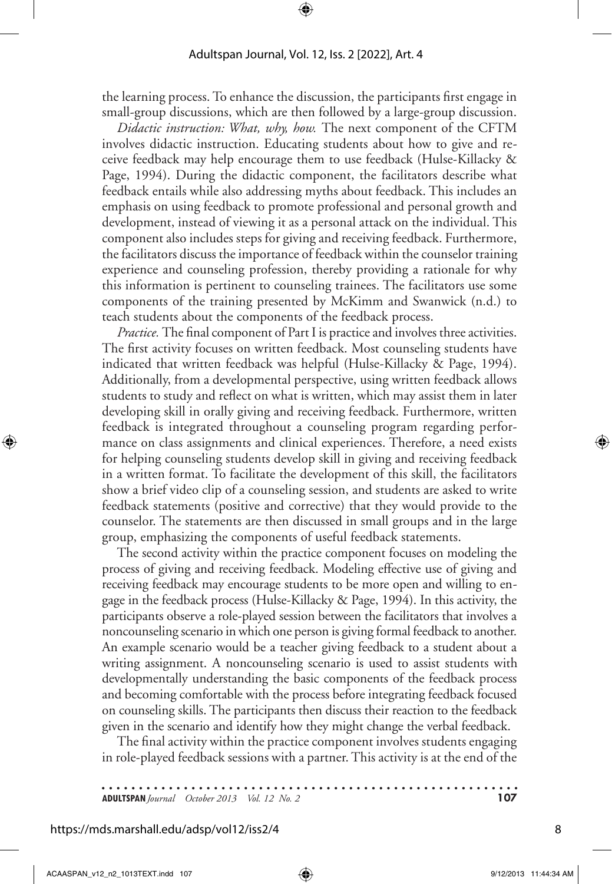the learning process. To enhance the discussion, the participants first engage in small-group discussions, which are then followed by a large-group discussion.

*Didactic instruction: What, why, how.* The next component of the CFTM involves didactic instruction. Educating students about how to give and receive feedback may help encourage them to use feedback (Hulse-Killacky & Page, 1994). During the didactic component, the facilitators describe what feedback entails while also addressing myths about feedback. This includes an emphasis on using feedback to promote professional and personal growth and development, instead of viewing it as a personal attack on the individual. This component also includes steps for giving and receiving feedback. Furthermore, the facilitators discuss the importance of feedback within the counselor training experience and counseling profession, thereby providing a rationale for why this information is pertinent to counseling trainees. The facilitators use some components of the training presented by McKimm and Swanwick (n.d.) to teach students about the components of the feedback process.

*Practice.* The final component of Part I is practice and involves three activities. The first activity focuses on written feedback. Most counseling students have indicated that written feedback was helpful (Hulse-Killacky & Page, 1994). Additionally, from a developmental perspective, using written feedback allows students to study and reflect on what is written, which may assist them in later developing skill in orally giving and receiving feedback. Furthermore, written feedback is integrated throughout a counseling program regarding performance on class assignments and clinical experiences. Therefore, a need exists for helping counseling students develop skill in giving and receiving feedback in a written format. To facilitate the development of this skill, the facilitators show a brief video clip of a counseling session, and students are asked to write feedback statements (positive and corrective) that they would provide to the counselor. The statements are then discussed in small groups and in the large group, emphasizing the components of useful feedback statements.

The second activity within the practice component focuses on modeling the process of giving and receiving feedback. Modeling effective use of giving and receiving feedback may encourage students to be more open and willing to engage in the feedback process (Hulse-Killacky & Page, 1994). In this activity, the participants observe a role-played session between the facilitators that involves a noncounseling scenario in which one person is giving formal feedback to another. An example scenario would be a teacher giving feedback to a student about a writing assignment. A noncounseling scenario is used to assist students with developmentally understanding the basic components of the feedback process and becoming comfortable with the process before integrating feedback focused on counseling skills. The participants then discuss their reaction to the feedback given in the scenario and identify how they might change the verbal feedback.

The final activity within the practice component involves students engaging in role-played feedback sessions with a partner. This activity is at the end of the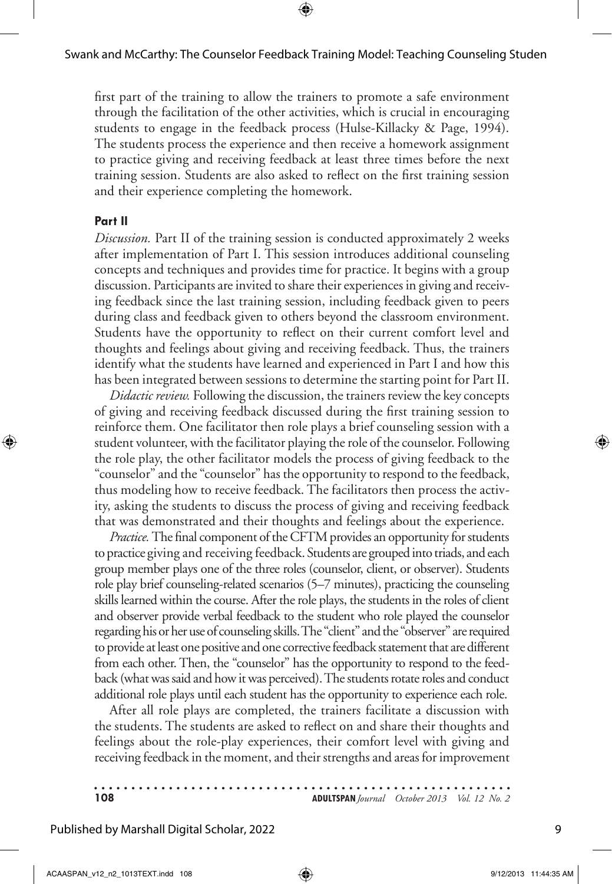first part of the training to allow the trainers to promote a safe environment through the facilitation of the other activities, which is crucial in encouraging students to engage in the feedback process (Hulse-Killacky & Page, 1994). The students process the experience and then receive a homework assignment to practice giving and receiving feedback at least three times before the next training session. Students are also asked to reflect on the first training session and their experience completing the homework.

#### **Part II**

*Discussion.* Part II of the training session is conducted approximately 2 weeks after implementation of Part I. This session introduces additional counseling concepts and techniques and provides time for practice. It begins with a group discussion. Participants are invited to share their experiences in giving and receiving feedback since the last training session, including feedback given to peers during class and feedback given to others beyond the classroom environment. Students have the opportunity to reflect on their current comfort level and thoughts and feelings about giving and receiving feedback. Thus, the trainers identify what the students have learned and experienced in Part I and how this has been integrated between sessions to determine the starting point for Part II.

*Didactic review.* Following the discussion, the trainers review the key concepts of giving and receiving feedback discussed during the first training session to reinforce them. One facilitator then role plays a brief counseling session with a student volunteer, with the facilitator playing the role of the counselor. Following the role play, the other facilitator models the process of giving feedback to the "counselor" and the "counselor" has the opportunity to respond to the feedback, thus modeling how to receive feedback. The facilitators then process the activity, asking the students to discuss the process of giving and receiving feedback that was demonstrated and their thoughts and feelings about the experience.

*Practice.*The final component of the CFTM provides an opportunity for students to practice giving and receiving feedback. Students are grouped into triads, and each group member plays one of the three roles (counselor, client, or observer). Students role play brief counseling-related scenarios (5–7 minutes), practicing the counseling skills learned within the course. After the role plays, the students in the roles of client and observer provide verbal feedback to the student who role played the counselor regarding his or her use of counseling skills. The "client" and the "observer" are required to provide at least one positive and one corrective feedback statement that are different from each other. Then, the "counselor" has the opportunity to respond to the feedback (what was said and how it was perceived). The students rotate roles and conduct additional role plays until each student has the opportunity to experience each role.

After all role plays are completed, the trainers facilitate a discussion with the students. The students are asked to reflect on and share their thoughts and feelings about the role-play experiences, their comfort level with giving and receiving feedback in the moment, and their strengths and areas for improvement

| 108 | <b>ADULTSPAN</b> Journal October 2013 Vol. 12 No. 2 |
|-----|-----------------------------------------------------|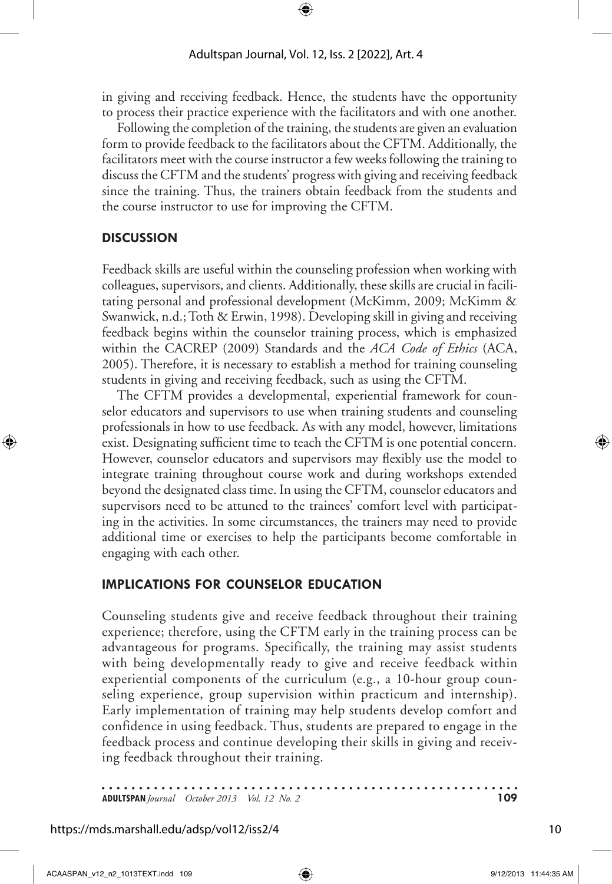in giving and receiving feedback. Hence, the students have the opportunity to process their practice experience with the facilitators and with one another.

Following the completion of the training, the students are given an evaluation form to provide feedback to the facilitators about the CFTM. Additionally, the facilitators meet with the course instructor a few weeks following the training to discuss the CFTM and the students' progress with giving and receiving feedback since the training. Thus, the trainers obtain feedback from the students and the course instructor to use for improving the CFTM.

### **Discussion**

Feedback skills are useful within the counseling profession when working with colleagues, supervisors, and clients. Additionally, these skills are crucial in facilitating personal and professional development (McKimm, 2009; McKimm & Swanwick, n.d.; Toth & Erwin, 1998). Developing skill in giving and receiving feedback begins within the counselor training process, which is emphasized within the CACREP (2009) Standards and the *ACA Code of Ethics* (ACA, 2005). Therefore, it is necessary to establish a method for training counseling students in giving and receiving feedback, such as using the CFTM.

The CFTM provides a developmental, experiential framework for counselor educators and supervisors to use when training students and counseling professionals in how to use feedback. As with any model, however, limitations exist. Designating sufficient time to teach the CFTM is one potential concern. However, counselor educators and supervisors may flexibly use the model to integrate training throughout course work and during workshops extended beyond the designated class time. In using the CFTM, counselor educators and supervisors need to be attuned to the trainees' comfort level with participating in the activities. In some circumstances, the trainers may need to provide additional time or exercises to help the participants become comfortable in engaging with each other.

# **IMPLICATIONS FOR COUNSELOR EDUCATION**

Counseling students give and receive feedback throughout their training experience; therefore, using the CFTM early in the training process can be advantageous for programs. Specifically, the training may assist students with being developmentally ready to give and receive feedback within experiential components of the curriculum (e.g., a 10-hour group counseling experience, group supervision within practicum and internship). Early implementation of training may help students develop comfort and confidence in using feedback. Thus, students are prepared to engage in the feedback process and continue developing their skills in giving and receiving feedback throughout their training.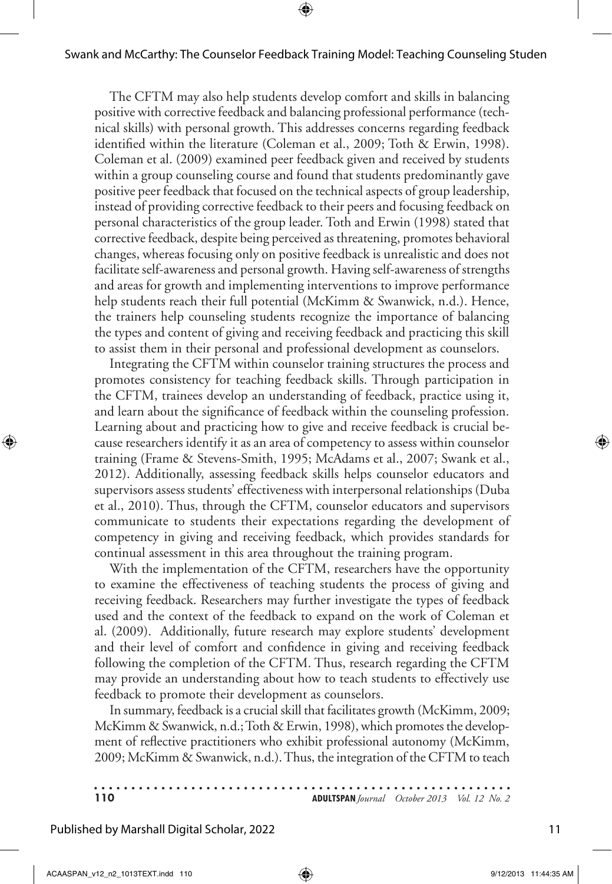The CFTM may also help students develop comfort and skills in balancing positive with corrective feedback and balancing professional performance (technical skills) with personal growth. This addresses concerns regarding feedback identified within the literature (Coleman et al., 2009; Toth & Erwin, 1998). Coleman et al. (2009) examined peer feedback given and received by students within a group counseling course and found that students predominantly gave positive peer feedback that focused on the technical aspects of group leadership, instead of providing corrective feedback to their peers and focusing feedback on personal characteristics of the group leader. Toth and Erwin (1998) stated that corrective feedback, despite being perceived as threatening, promotes behavioral changes, whereas focusing only on positive feedback is unrealistic and does not facilitate self-awareness and personal growth. Having self-awareness of strengths and areas for growth and implementing interventions to improve performance help students reach their full potential (McKimm & Swanwick, n.d.). Hence, the trainers help counseling students recognize the importance of balancing the types and content of giving and receiving feedback and practicing this skill to assist them in their personal and professional development as counselors.

Integrating the CFTM within counselor training structures the process and promotes consistency for teaching feedback skills. Through participation in the CFTM, trainees develop an understanding of feedback, practice using it, and learn about the significance of feedback within the counseling profession. Learning about and practicing how to give and receive feedback is crucial because researchers identify it as an area of competency to assess within counselor training (Frame & Stevens-Smith, 1995; McAdams et al., 2007; Swank et al., 2012). Additionally, assessing feedback skills helps counselor educators and supervisors assess students' effectiveness with interpersonal relationships (Duba et al., 2010). Thus, through the CFTM, counselor educators and supervisors communicate to students their expectations regarding the development of competency in giving and receiving feedback, which provides standards for continual assessment in this area throughout the training program.

With the implementation of the CFTM, researchers have the opportunity to examine the effectiveness of teaching students the process of giving and receiving feedback. Researchers may further investigate the types of feedback used and the context of the feedback to expand on the work of Coleman et al. (2009). Additionally, future research may explore students' development and their level of comfort and confidence in giving and receiving feedback following the completion of the CFTM. Thus, research regarding the CFTM may provide an understanding about how to teach students to effectively use feedback to promote their development as counselors.

In summary, feedback is a crucial skill that facilitates growth (McKimm, 2009; McKimm & Swanwick, n.d.; Toth & Erwin, 1998), which promotes the development of reflective practitioners who exhibit professional autonomy (McKimm, 2009; McKimm & Swanwick, n.d.). Thus, the integration of the CFTM to teach

| 110 | <b>ADULTSPAN</b> Journal October 2013 Vol. 12 No. 2 |  |
|-----|-----------------------------------------------------|--|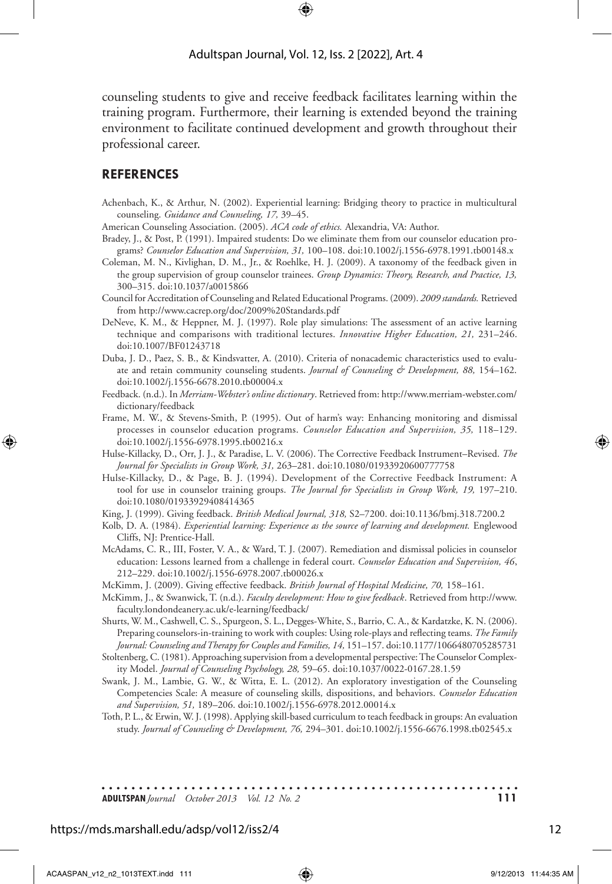counseling students to give and receive feedback facilitates learning within the training program. Furthermore, their learning is extended beyond the training environment to facilitate continued development and growth throughout their professional career.

#### **References**

- Achenbach, K., & Arthur, N. (2002). Experiential learning: Bridging theory to practice in multicultural counseling. *Guidance and Counseling, 17,* 39–45.
- American Counseling Association. (2005). *ACA code of ethics.* Alexandria, VA: Author.
- Bradey, J., & Post, P. (1991). Impaired students: Do we eliminate them from our counselor education programs? *Counselor Education and Supervision, 31,* 100–108. doi:10.1002/j.1556-6978.1991.tb00148.x
- Coleman, M. N., Kivlighan, D. M., Jr., & Roehlke, H. J. (2009). A taxonomy of the feedback given in the group supervision of group counselor trainees. *Group Dynamics: Theory, Research, and Practice, 13,* 300–315. doi:10.1037/a0015866
- Council for Accreditation of Counseling and Related Educational Programs. (2009). *2009 standards.* Retrieved from http://www.cacrep.org/doc/2009%20Standards.pdf
- DeNeve, K. M., & Heppner, M. J. (1997). Role play simulations: The assessment of an active learning technique and comparisons with traditional lectures. *Innovative Higher Education, 21,* 231–246. doi:10.1007/BF01243718
- Duba, J. D., Paez, S. B., & Kindsvatter, A. (2010). Criteria of nonacademic characteristics used to evaluate and retain community counseling students. *Journal of Counseling & Development, 88,* 154–162. doi:10.1002/j.1556-6678.2010.tb00004.x
- Feedback. (n.d.). In *Merriam-Webster's online dictionary*. Retrieved from: http://www.merriam-webster.com/ dictionary/feedback
- Frame, M. W., & Stevens-Smith, P. (1995). Out of harm's way: Enhancing monitoring and dismissal processes in counselor education programs. *Counselor Education and Supervision, 35,* 118–129. doi:10.1002/j.1556-6978.1995.tb00216.x
- Hulse-Killacky, D., Orr, J. J., & Paradise, L. V. (2006). The Corrective Feedback Instrument–Revised. *The Journal for Specialists in Group Work, 31,* 263–281. doi:10.1080/01933920600777758
- Hulse-Killacky, D., & Page, B. J. (1994). Development of the Corrective Feedback Instrument: A tool for use in counselor training groups. *The Journal for Specialists in Group Work, 19,* 197–210. doi:10.1080/01933929408414365
- King, J. (1999). Giving feedback. *British Medical Journal, 318,* S2–7200. doi:10.1136/bmj.318.7200.2
- Kolb, D. A. (1984). *Experiential learning: Experience as the source of learning and development*. Englewood Cliffs, NJ: Prentice-Hall.
- McAdams, C. R., III, Foster, V. A., & Ward, T. J. (2007). Remediation and dismissal policies in counselor education: Lessons learned from a challenge in federal court. *Counselor Education and Supervision, 46*, 212–229. doi:10.1002/j.1556-6978.2007.tb00026.x
- McKimm, J. (2009). Giving effective feedback. *British Journal of Hospital Medicine, 70,* 158–161.
- McKimm, J., & Swanwick, T. (n.d.). *Faculty development: How to give feedback*. Retrieved from http://www. faculty.londondeanery.ac.uk/e-learning/feedback/
- Shurts, W. M., Cashwell, C. S., Spurgeon, S. L., Degges-White, S., Barrio, C. A., & Kardatzke, K. N. (2006). Preparing counselors-in-training to work with couples: Using role-plays and reflecting teams. *The Family Journal: Counseling and Therapy for Couples and Families, 14,* 151–157. doi:10.1177/1066480705285731
- Stoltenberg, C. (1981). Approaching supervision from a developmental perspective: The Counselor Complexity Model. *Journal of Counseling Psychology, 28,* 59–65. doi:10.1037/0022-0167.28.1.59
- Swank, J. M., Lambie, G. W., & Witta, E. L. (2012). An exploratory investigation of the Counseling Competencies Scale: A measure of counseling skills*,* dispositions, and behaviors. *Counselor Education and Supervision, 51,* 189–206. doi:10.1002/j.1556-6978.2012.00014.x
- Toth, P. L., & Erwin, W. J. (1998). Applying skill-based curriculum to teach feedback in groups: An evaluation study. *Journal of Counseling & Development, 76,* 294–301. doi:10.1002/j.1556-6676.1998.tb02545.x